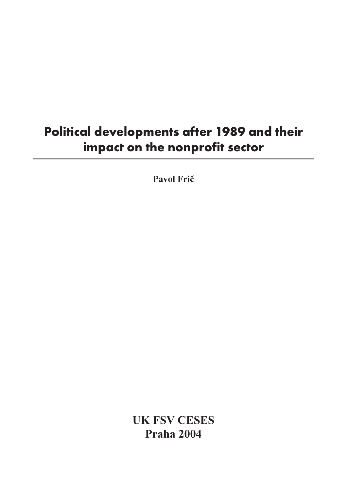# Political developments after 1989 and their impact on the nonprofit sector

**Pavol Frič**

**UK FSV CESES Praha 2004**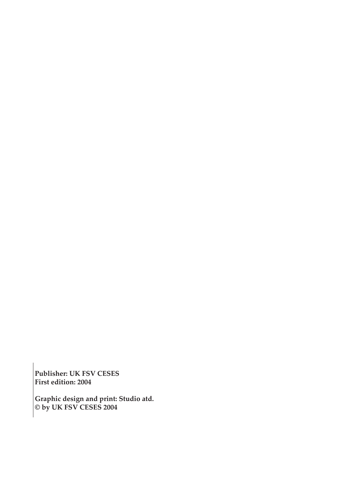**Publisher: UK FSV CESES First edition: 2004**

**Graphic design and print: Studio atd. © by UK FSV CESES 2004**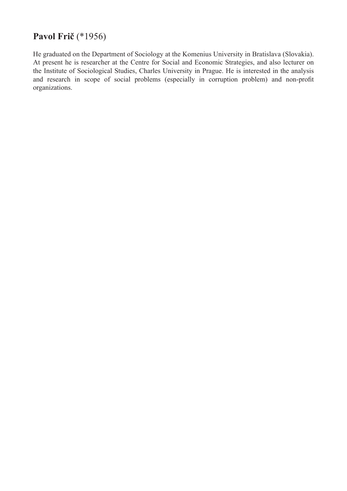## **Pavol Frič** (\*1956)

He graduated on the Department of Sociology at the Komenius University in Bratislava (Slovakia). At present he is researcher at the Centre for Social and Economic Strategies, and also lecturer on the Institute of Sociological Studies, Charles University in Prague. He is interested in the analysis and research in scope of social problems (especially in corruption problem) and non-profit organizations.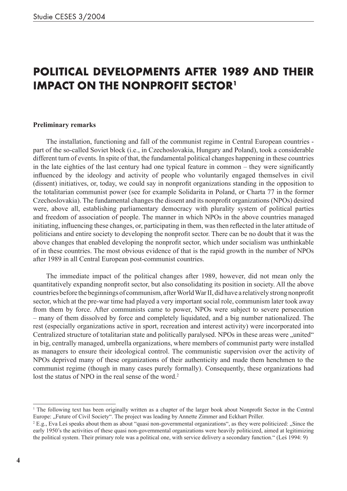## **POLITICAL DEVELOPMENTS AFTER 1989 AND THEIR IMPACT ON THE NONPROFIT SECTOR<sup>1</sup>**

#### **Preliminary remarks**

 The installation, functioning and fall of the communist regime in Central European countries part of the so-called Soviet block (i.e., in Czechoslovakia, Hungary and Poland), took a considerable different turn of events. In spite of that, the fundamental political changes happening in these countries in the late eighties of the last century had one typical feature in common – they were significantly influenced by the ideology and activity of people who voluntarily engaged themselves in civil (dissent) initiatives, or, today, we could say in nonprofit organizations standing in the opposition to the totalitarian communist power (see for example Solidarita in Poland, or Charta 77 in the former Czechoslovakia). The fundamental changes the dissent and its nonprofit organizations (NPOs) desired were, above all, establishing parliamentary democracy with plurality system of political parties and freedom of association of people. The manner in which NPOs in the above countries managed initiating, influencing these changes, or, participating in them, was then reflected in the later attitude of politicians and entire society to developing the nonprofit sector. There can be no doubt that it was the above changes that enabled developing the nonprofit sector, which under socialism was unthinkable of in these countries. The most obvious evidence of that is the rapid growth in the number of NPOs after 1989 in all Central European post-communist countries.

 The immediate impact of the political changes after 1989, however, did not mean only the quantitatively expanding nonprofit sector, but also consolidating its position in society. All the above countries before the beginnings of communism, after World War II, did have a relatively strong nonprofit sector, which at the pre-war time had played a very important social role, communism later took away from them by force. After communists came to power, NPOs were subject to severe persecution – many of them dissolved by force and completely liquidated, and a big number nationalized. The rest (especially organizations active in sport, recreation and interest activity) were incorporated into Centralized structure of totalitarian state and politically paralysed. NPOs in these areas were "united" in big, centrally managed, umbrella organizations, where members of communist party were installed as managers to ensure their ideological control. The communistic supervision over the activity of NPOs deprived many of these organizations of their authenticity and made them henchmen to the communist regime (though in many cases purely formally). Consequently, these organizations had lost the status of NPO in the real sense of the word.<sup>2</sup>

<sup>1</sup> The following text has been originally written as a chapter of the larger book about Nonprofit Sector in the Central Europe: "Future of Civil Society". The project was leading by Annette Zimmer and Eckhart Priller.

 $2$  E.g., Eva Leś speaks about them as about "quasi non-governmental organizations", as they were politicized: "Since the early 1950's the activities of these quasi non-governmental organizations were heavily politicized, aimed at legitimizing the political system. Their primary role was a political one, with service delivery a secondary function." (Leś 1994: 9)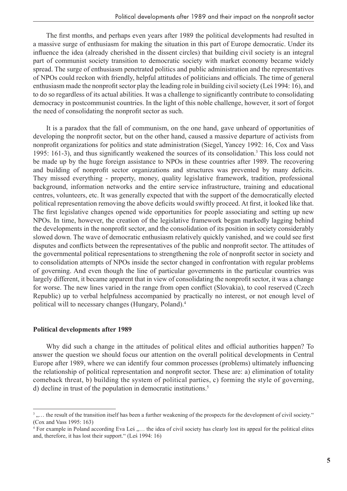The first months, and perhaps even years after 1989 the political developments had resulted in a massive surge of enthusiasm for making the situation in this part of Europe democratic. Under its influence the idea (already cherished in the dissent circles) that building civil society is an integral part of communist society transition to democratic society with market economy became widely spread. The surge of enthusiasm penetrated politics and public administration and the representatives of NPOs could reckon with friendly, helpful attitudes of politicians and officials. The time of general enthusiasm made the nonprofit sector play the leading role in building civil society (Leś 1994: 16), and to do so regardless of its actual abilities. It was a challenge to significantly contribute to consolidating democracy in postcommunist countries. In the light of this noble challenge, however, it sort of forgot the need of consolidating the nonprofit sector as such.

 It is a paradox that the fall of communism, on the one hand, gave unheard of opportunities of developing the nonprofit sector, but on the other hand, caused a massive departure of activists from nonprofit organizations for politics and state administration (Siegel, Yancey 1992: 16, Cox and Vass 1995: 161-3), and thus significantly weakened the sources of its consolidation.<sup>3</sup> This loss could not be made up by the huge foreign assistance to NPOs in these countries after 1989. The recovering and building of nonprofit sector organizations and structures was prevented by many deficits. They missed everything - property, money, quality legislative framework, tradition, professional background, information networks and the entire service infrastructure, training and educational centres, volunteers, etc. It was generally expected that with the support of the democratically elected political representation removing the above deficits would swiftly proceed. At first, it looked like that. The first legislative changes opened wide opportunities for people associating and setting up new NPOs. In time, however, the creation of the legislative framework began markedly lagging behind the developments in the nonprofit sector, and the consolidation of its position in society considerably slowed down. The wave of democratic enthusiasm relatively quickly vanished, and we could see first disputes and conflicts between the representatives of the public and nonprofit sector. The attitudes of the governmental political representations to strengthening the role of nonprofit sector in society and to consolidation attempts of NPOs inside the sector changed in confrontation with regular problems of governing. And even though the line of particular governments in the particular countries was largely different, it became apparent that in view of consolidating the nonprofit sector, it was a change for worse. The new lines varied in the range from open conflict (Slovakia), to cool reserved (Czech Republic) up to verbal helpfulness accompanied by practically no interest, or not enough level of political will to necessary changes (Hungary, Poland).4

## **Political developments after 1989**

 Why did such a change in the attitudes of political elites and official authorities happen? To answer the question we should focus our attention on the overall political developments in Central Europe after 1989, where we can identify four common processes (problems) ultimately influencing the relationship of political representation and nonprofit sector. These are: a) elimination of totality comeback threat, b) building the system of political parties, c) forming the style of governing, d) decline in trust of the population in democratic institutions.<sup>5</sup>

<sup>3</sup> "… the result of the transition itself has been a further weakening of the prospects for the development of civil society." (Cox and Vass 1995: 163)

<sup>&</sup>lt;sup>4</sup> For example in Poland according Eva Leś , ... the idea of civil society has clearly lost its appeal for the political elites and, therefore, it has lost their support." (Leś 1994: 16)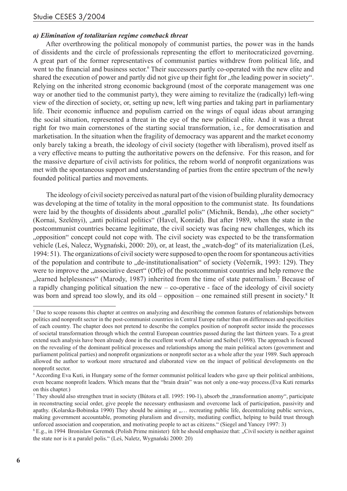## *a) Elimination of totalitarian regime comeback threat*

 After overthrowing the political monopoly of communist parties, the power was in the hands of dissidents and the circle of professionals representing the effort to meritocraticized governing. A great part of the former representatives of communist parties withdrew from political life, and went to the financial and business sector.<sup>6</sup> Their successors partly co-operated with the new elite and shared the execution of power and partly did not give up their fight for "the leading power in society". Relying on the inherited strong economic background (most of the corporate management was one way or another tied to the communist party), they were aiming to revitalize the (radically) left-wing view of the direction of society, or, setting up new, left wing parties and taking part in parliamentary life. Their economic influence and populism carried on the wings of equal ideas about arranging the social situation, represented a threat in the eye of the new political elite. And it was a threat right for two main cornerstones of the starting social transformation, i.e., for democratisation and marketisation. In the situation when the fragility of democracy was apparent and the market economy only barely taking a breath, the ideology of civil society (together with liberalism), proved itself as a very effective means to putting the authoritative powers on the defensive. For this reason, and for the massive departure of civil activists for politics, the reborn world of nonprofit organizations was met with the spontaneous support and understanding of parties from the entire spectrum of the newly founded political parties and movements.

 The ideology of civil society perceived as natural part of the vision of building plurality democracy was developing at the time of totality in the moral opposition to the communist state. Its foundations were laid by the thoughts of dissidents about "parallel polis" (Michnik, Benda), "the other society" (Kornai, Szelényi), "anti political politics" (Havel, Konrád). But after 1989, when the state in the postcommunist countries became legitimate, the civil society was facing new challenges, which its "opposition" concept could not cope with. The civil society was expected to be the transformation vehicle (Leś, Nalecz, Wygnański, 2000: 20), or, at least, the "watch-dog" of its materialization (Leś, 1994: 51). The organizations of civil society were supposed to open the room for spontaneous activities of the population and contribute to "de-institutionalisation" of society (Večerník, 1993: 129). They were to improve the "associative desert" (Offe) of the postcommunist countries and help remove the "learned helplessness" (Marody, 1987) inherited from the time of state paternalism.<sup>7</sup> Because of a rapidly changing political situation the new – co-operative - face of the ideology of civil society was born and spread too slowly, and its old – opposition – one remained still present in society.<sup>8</sup> It

<sup>&</sup>lt;sup>5</sup> Due to scope reasons this chapter at centres on analyzing and describing the common features of relationships between politics and nonprofit sector in the post-communist countries in Central Europe rather than on differences and specificities of each country. The chapter does not pretend to describe the complex position of nonprofit sector inside the processes of societal transformation through which the central European countries passed during the last thirteen years. To a great extend such analysis have been already done in the excellent work of Anheier and Seibel (1998). The approach is focused on the revealing of the dominant political processes and relationships among the main political actors (government and parliament political parties) and nonprofit organizations or nonprofit sector as a whole after the year 1989. Such approach allowed the author to workout more structured and elaborated view on the impact of political developments on the nonprofit sector.

<sup>6</sup> According Eva Kuti, in Hungary some of the former communist political leaders who gave up their political ambitions, even became nonprofit leaders. Which means that the "brain drain" was not only a one-way process.(Eva Kuti remarks on this chapter.)

They should also strengthen trust in society (Bútora et all. 1995: 190-1), absorb the "transformation anomy", participate in reconstructing social order, give people the necessary enthusiasm and overcome lack of participation, passivity and apathy. (Kolarska-Bobinska 1990) They should be aiming at .... recreating public life, decentralizing public services, making government accountable, promoting pluralism and diversity, mediating conflict, helping to build trust through unforced association and cooperation, and motivating people to act as citizens." (Siegel and Yancey 1997: 3)

<sup>&</sup>lt;sup>8</sup> E.g., in 1994 Bronislaw Geremek (Polish Prime minister) felt he should emphasize that: "Civil society is neither against the state nor is it a paralel polis." (Leś, Naletz, Wygnański 2000: 20)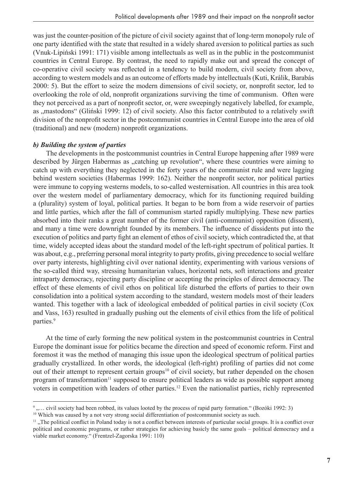was just the counter-position of the picture of civil society against that of long-term monopoly rule of one party identified with the state that resulted in a widely shared aversion to political parties as such (Vnuk-Lipiński 1991: 171) visible among intellectuals as well as in the public in the postcommunist countries in Central Europe. By contrast, the need to rapidly make out and spread the concept of co-operative civil society was reflected in a tendency to build modern, civil society from above, according to western models and as an outcome of efforts made by intellectuals (Kuti, Králik, Barabás 2000: 5). But the effort to seize the modern dimensions of civil society, or, nonprofit sector, led to overlooking the role of old, nonprofit organizations surviving the time of communism. Often were they not perceived as a part of nonprofit sector, or, were sweepingly negatively labelled, for example, as "mastodons" (Gliński 1999: 12) of civil society. Also this factor contributed to a relatively swift division of the nonprofit sector in the postcommunist countries in Central Europe into the area of old (traditional) and new (modern) nonprofit organizations.

### *b) Building the system of parties*

 The developments in the postcommunist countries in Central Europe happening after 1989 were described by Jürgen Habermas as "catching up revolution", where these countries were aiming to catch up with everything they neglected in the forty years of the communist rule and were lagging behind western societies (Habermas 1999: 162). Neither the nonprofit sector, nor political parties were immune to copying westerns models, to so-called westernisation. All countries in this area took over the western model of parliamentary democracy, which for its functioning required building a (plurality) system of loyal, political parties. It began to be born from a wide reservoir of parties and little parties, which after the fall of communism started rapidly multiplying. These new parties absorbed into their ranks a great number of the former civil (anti-communist) opposition (dissent), and many a time were downright founded by its members. The influence of dissidents put into the execution of politics and party fight an element of ethos of civil society, which contradicted the, at that time, widely accepted ideas about the standard model of the left-right spectrum of political parties. It was about, e.g., preferring personal moral integrity to party profits, giving precedence to social welfare over party interests, highlighting civil over national identity, experimenting with various versions of the so-called third way, stressing humanitarian values, horizontal nets, soft interactions and greater intraparty democracy, rejecting party discipline or accepting the principles of direct democracy. The effect of these elements of civil ethos on political life disturbed the efforts of parties to their own consolidation into a political system according to the standard, western models most of their leaders wanted. This together with a lack of ideological embedded of political parties in civil society (Cox and Vass, 163) resulted in gradually pushing out the elements of civil ethics from the life of political parties.<sup>9</sup>

 At the time of early forming the new political system in the postcommunist countries in Central Europe the dominant issue for politics became the direction and speed of economic reform. First and foremost it was the method of managing this issue upon the ideological spectrum of political parties gradually crystallized. In other words, the ideological (left-right) profiling of parties did not come out of their attempt to represent certain groups<sup>10</sup> of civil society, but rather depended on the chosen program of transformation<sup>11</sup> supposed to ensure political leaders as wide as possible support among voters in competition with leaders of other parties.12 Even the nationalist parties, richly represented

<sup>9</sup> .... civil society had been robbed, its values looted by the process of rapid party formation." (Bozóki 1992: 3)

<sup>&</sup>lt;sup>10</sup> Which was caused by a not very strong social differentiation of postcommunist society as such.

 $11$ , The political conflict in Poland today is not a conflict between interests of particular social groups. It is a conflict over political and economic programs, or rather strategies for achieving basicly the same goals – political democracy and a viable market economy." (Frentzel-Zagorska 1991: 110)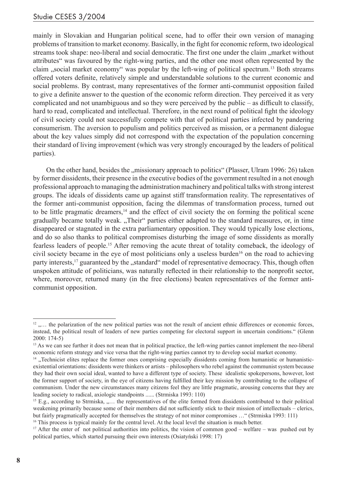mainly in Slovakian and Hungarian political scene, had to offer their own version of managing problems of transition to market economy. Basically, in the fight for economic reform, two ideological streams took shape: neo-liberal and social democratic. The first one under the claim "market without attributes" was favoured by the right-wing parties, and the other one most often represented by the claim , social market economy" was popular by the left-wing of political spectrum.<sup>13</sup> Both streams offered voters definite, relatively simple and understandable solutions to the current economic and social problems. By contrast, many representatives of the former anti-communist opposition failed to give a definite answer to the question of the economic reform direction. They perceived it as very complicated and not unambiguous and so they were perceived by the public – as difficult to classify, hard to read, complicated and intellectual. Therefore, in the next round of political fight the ideology of civil society could not successfully compete with that of political parties infected by pandering consumerism. The aversion to populism and politics perceived as mission, or a permanent dialogue about the key values simply did not correspond with the expectation of the population concerning their standard of living improvement (which was very strongly encouraged by the leaders of political parties).

On the other hand, besides the "missionary approach to politics" (Plasser, Ulram 1996: 26) taken by former dissidents, their presence in the executive bodies of the government resulted in a not enough professional approach to managing the administration machinery and political talks with strong interest groups. The ideals of dissidents came up against stiff transformation reality. The representatives of the former anti-communist opposition, facing the dilemmas of transformation process, turned out to be little pragmatic dreamers,<sup>14</sup> and the effect of civil society the on forming the political scene gradually became totally weak. "Their" parties either adapted to the standard measures, or, in time disappeared or stagnated in the extra parliamentary opposition. They would typically lose elections, and do so also thanks to political compromises disturbing the image of some dissidents as morally fearless leaders of people.15 After removing the acute threat of totality comeback, the ideology of civil society became in the eye of most politicians only a useless burden<sup>16</sup> on the road to achieving party interests,<sup>17</sup> guaranteed by the "standard" model of representative democracy. This, though often unspoken attitude of politicians, was naturally reflected in their relationship to the nonprofit sector, where, moreover, returned many (in the free elections) beaten representatives of the former anticommunist opposition.

 $12$   $\ldots$  the polarization of the new political parties was not the result of ancient ethnic differences or economic forces, instead, the political result of leaders of new parties competing for electoral support in uncertain conditions." (Glenn 2000: 174-5)

<sup>&</sup>lt;sup>13</sup> As we can see further it does not mean that in political practice, the left-wing parties cannot implement the neo-liberal economic reform strategy and vice versa that the right-wing parties cannot try to develop social market economy.

<sup>&</sup>lt;sup>14</sup> "Technicist elites replace the former ones comprising especially dissidents coming from humanistic or humanisticexistential orientations: dissidents were thinkers or artists – philosophers who rebel against the communist system because they had their own social ideal, wanted to have a different type of society. These idealistic spokepersons, however, lost the former support of society, in the eye of citizens having fulfilled their key mission by contributing to the collapse of communism. Under the new circumstances many citizens feel they are little pragmatic, arousing concerns that they are leading society to radical, axiologic standpoints ...... (Strmiska 1993: 110)

 $15$  E.g., according to Strmiska,  $, \ldots$  the representatives of the elite formed from dissidents contributed to their political weakening primarily because some of their members did not sufficiently stick to their mission of intellectuals – clerics, but fairly pragmatically accepted for themselves the strategy of not minor compromises …" (Strmiska 1993: 111)

<sup>&</sup>lt;sup>16</sup> This process is typical mainly for the central level. At the local level the situation is much better.

<sup>&</sup>lt;sup>17</sup> After the enter of not political authorities into politics, the vision of common good – welfare – was pushed out by political parties, which started pursuing their own interests (Osiatyński 1998: 17)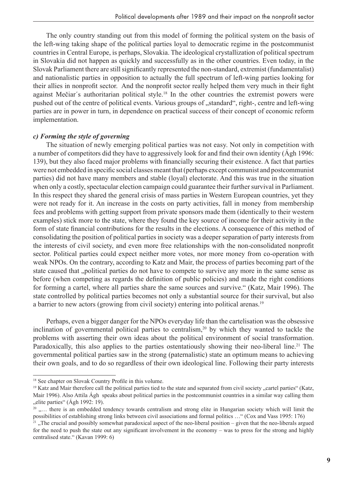The only country standing out from this model of forming the political system on the basis of the left-wing taking shape of the political parties loyal to democratic regime in the postcommunist countries in Central Europe, is perhaps, Slovakia. The ideological crystallization of political spectrum in Slovakia did not happen as quickly and successfully as in the other countries. Even today, in the Slovak Parliament there are still significantly represented the non-standard, extremist (fundamentalist) and nationalistic parties in opposition to actually the full spectrum of left-wing parties looking for their allies in nonprofit sector. And the nonprofit sector really helped them very much in their fight against Mečiar's authoritarian political style.<sup>18</sup> In the other countries the extremist powers were pushed out of the centre of political events. Various groups of "standard", right-, centre and left-wing parties are in power in turn, in dependence on practical success of their concept of economic reform implementation.

#### *c) Forming the style of governing*

 The situation of newly emerging political parties was not easy. Not only in competition with a number of competitors did they have to aggressively look for and find their own identity (Ágh 1996: 139), but they also faced major problems with financially securing their existence. A fact that parties were not embedded in specific social classes meant that (perhaps except communist and postcommunist parties) did not have many members and stable (loyal) electorate. And this was true in the situation when only a costly, spectacular election campaign could guarantee their further survival in Parliament. In this respect they shared the general crisis of mass parties in Western European countries, yet they were not ready for it. An increase in the costs on party activities, fall in money from membership fees and problems with getting support from private sponsors made them (identically to their western examples) stick more to the state, where they found the key source of income for their activity in the form of state financial contributions for the results in the elections. A consequence of this method of consolidating the position of political parties in society was a deeper separation of party interests from the interests of civil society, and even more free relationships with the non-consolidated nonprofit sector. Political parties could expect neither more votes, nor more money from co-operation with weak NPOs. On the contrary, according to Katz and Mair, the process of parties becoming part of the state caused that "political parties do not have to compete to survive any more in the same sense as before (when competing as regards the definition of public policies) and made the right conditions for forming a cartel, where all parties share the same sources and survive." (Katz, Mair 1996). The state controlled by political parties becomes not only a substantial source for their survival, but also a barrier to new actors (growing from civil society) entering into political arenas.<sup>19</sup>

 Perhaps, even a bigger danger for the NPOs everyday life than the cartelisation was the obsessive inclination of governmental political parties to centralism,<sup>20</sup> by which they wanted to tackle the problems with asserting their own ideas about the political environment of social transformation. Paradoxically, this also applies to the parties ostentatiously showing their neo-liberal line.<sup>21</sup> The governmental political parties saw in the strong (paternalistic) state an optimum means to achieving their own goals, and to do so regardless of their own ideological line. Following their party interests

<sup>&</sup>lt;sup>18</sup> See chapter on Slovak Country Profile in this volume.

<sup>&</sup>lt;sup>19</sup> Katz and Mair therefore call the political parties tied to the state and separated from civil society ..cartel parties" (Katz, Mair 1996). Also Attila Ágh speaks about political parties in the postcommunist countries in a similar way calling them  $n$ elite parties" (Ágh 1992: 19).

 $20$  .... there is an embedded tendency towards centralism and strong elite in Hungarian society which will limit the possibilities of establishing strong links between civil associations and formal politics …" (Cox and Vass 1995: 176)

 $21$ , The crucial and possibly somewhat paradoxical aspect of the neo-liberal position – given that the neo-liberals argued for the need to push the state out any significant involvement in the economy – was to press for the strong and highly centralised state." (Kavan 1999: 6)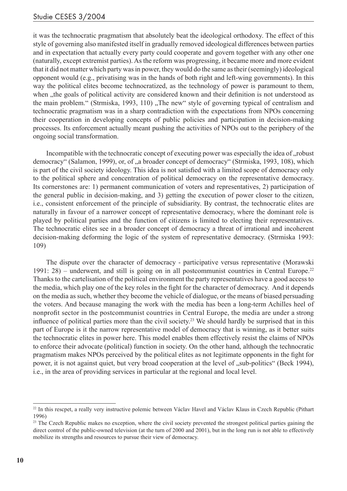it was the technocratic pragmatism that absolutely beat the ideological orthodoxy. The effect of this style of governing also manifested itself in gradually removed ideological differences between parties and in expectation that actually every party could cooperate and govern together with any other one (naturally, except extremist parties). As the reform was progressing, it became more and more evident that it did not matter which party was in power, they would do the same as their (seemingly) ideological opponent would (e.g., privatising was in the hands of both right and left-wing governments). In this way the political elites become technocratized, as the technology of power is paramount to them, when "the goals of political activity are considered known and their definition is not understood as the main problem." (Strmiska, 1993, 110) "The new" style of governing typical of centralism and technocratic pragmatism was in a sharp contradiction with the expectations from NPOs concerning their cooperation in developing concepts of public policies and participation in decision-making processes. Its enforcement actually meant pushing the activities of NPOs out to the periphery of the ongoing social transformation.

Incompatible with the technocratic concept of executing power was especially the idea of , robust democracy" (Salamon, 1999), or, of "a broader concept of democracy" (Strmiska, 1993, 108), which is part of the civil society ideology. This idea is not satisfied with a limited scope of democracy only to the political sphere and concentration of political democracy on the representative democracy. Its cornerstones are: 1) permanent communication of voters and representatives, 2) participation of the general public in decision-making, and 3) getting the execution of power closer to the citizen, i.e., consistent enforcement of the principle of subsidiarity. By contrast, the technocratic elites are naturally in favour of a narrower concept of representative democracy, where the dominant role is played by political parties and the function of citizens is limited to electing their representatives. The technocratic elites see in a broader concept of democracy a threat of irrational and incoherent decision-making deforming the logic of the system of representative democracy. (Strmiska 1993: 109)

 The dispute over the character of democracy - participative versus representative (Morawski 1991: 28) – underwent, and still is going on in all postcommunist countries in Central Europe.<sup>22</sup> Thanks to the cartelisation of the political environment the party representatives have a good access to the media, which play one of the key roles in the fight for the character of democracy. And it depends on the media as such, whether they become the vehicle of dialogue, or the means of biased persuading the voters. And because managing the work with the media has been a long-term Achilles heel of nonprofit sector in the postcommunist countries in Central Europe, the media are under a strong influence of political parties more than the civil society.23 We should hardly be surprised that in this part of Europe is it the narrow representative model of democracy that is winning, as it better suits the technocratic elites in power here. This model enables them effectively resist the claims of NPOs to enforce their advocate (political) function in society. On the other hand, although the technocratic pragmatism makes NPOs perceived by the political elites as not legitimate opponents in the fight for power, it is not against quiet, but very broad cooperation at the level of ...sub-politics" (Beck 1994), i.e., in the area of providing services in particular at the regional and local level.

<sup>&</sup>lt;sup>22</sup> In this rescpet, a really very instructive polemic between Václav Havel and Václav Klaus in Czech Republic (Pithart 1996)

<sup>&</sup>lt;sup>23</sup> The Czech Republic makes no exception, where the civil society prevented the strongest political parties gaining the direct control of the public-owned television (at the turn of 2000 and 2001), but in the long run is not able to effectively mobilize its strengths and resources to pursue their view of democracy.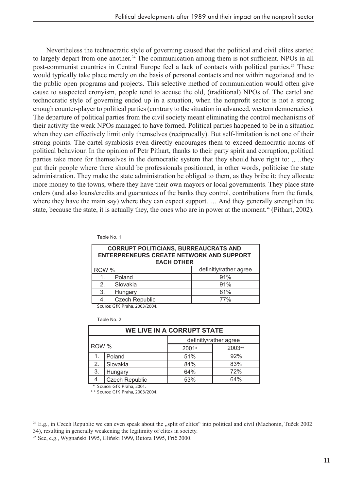Nevertheless the technocratic style of governing caused that the political and civil elites started to largely depart from one another.<sup>24</sup> The communication among them is not sufficient. NPOs in all post-communist countries in Central Europe feel a lack of contacts with political parties.<sup>25</sup> These would typically take place merely on the basis of personal contacts and not within negotiated and to the public open programs and projects. This selective method of communication would often give cause to suspected cronyism, people tend to accuse the old, (traditional) NPOs of. The cartel and technocratic style of governing ended up in a situation, when the nonprofit sector is not a strong enough counter-player to political parties (contrary to the situation in advanced, western democracies). The departure of political parties from the civil society meant eliminating the control mechanisms of their activity the weak NPOs managed to have formed. Political parties happened to be in a situation when they can effectively limit only themselves (reciprocally). But self-limitation is not one of their strong points. The cartel symbiosis even directly encourages them to exceed democratic norms of political behaviour. In the opinion of Petr Pithart, thanks to their party spirit and corruption, political parties take more for themselves in the democratic system that they should have right to:  $\dots$  they put their people where there should be professionals positioned, in other words, politicise the state administration. They make the state administration be obliged to them, as they bribe it: they allocate more money to the towns, where they have their own mayors or local governments. They place state orders (and also loans/credits and guarantees of the banks they control, contributions from the funds, where they have the main say) where they can expect support. … And they generally strengthen the state, because the state, it is actually they, the ones who are in power at the moment." (Pithart, 2002).

| Table No. 1 |  |
|-------------|--|
|-------------|--|

 $\sim$   $\sim$   $\sim$ 

| <b>CORRUPT POLITICIANS, BURREAUCRATS AND</b><br><b>ENTERPRENEURS CREATE NETWORK AND SUPPORT</b><br><b>EACH OTHER</b> |                |                        |  |  |
|----------------------------------------------------------------------------------------------------------------------|----------------|------------------------|--|--|
| ROW %                                                                                                                |                | definitly/rather agree |  |  |
| 1.                                                                                                                   | Poland         | 91%                    |  |  |
| 2.                                                                                                                   | Slovakia       | 91%                    |  |  |
| 3.                                                                                                                   | Hungary        | 81%                    |  |  |
| 4.                                                                                                                   | Czech Republic | 77%                    |  |  |

Source: GfK Praha, 2003/2004.

|                            | Table No. 2    |       |        |  |
|----------------------------|----------------|-------|--------|--|
| WE LIVE IN A CORRUPT STATE |                |       |        |  |
| definitly/rather agree     |                |       |        |  |
| ROW %                      |                | 2001* | 2003** |  |
| 1.                         | Poland         | 51%   | 92%    |  |
| 2.                         | Slovakia       | 84%   | 83%    |  |
| 3.                         | Hungary        | 64%   | 72%    |  |
| -4.                        | Czech Republic | 53%   | 64%    |  |

Source: GfK Praha, 2001.

\* \* Source: GfK Praha, 2003/2004.

 $24$  E.g., in Czech Republic we can even speak about the "split of elites" into political and civil (Machonin, Tuček 2002: 34), resulting in generally weakening the legitimity of elites in society.

<sup>25</sup> See, e.g., Wygnański 1995, Gliński 1999, Bútora 1995, Frič 2000.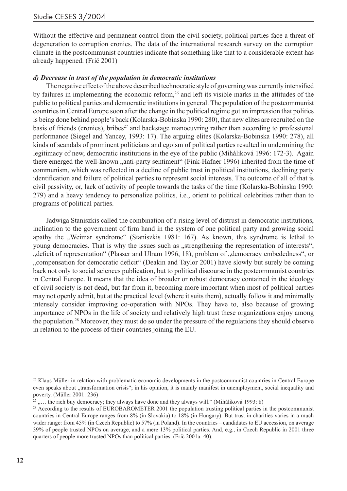## Studie CESES 3/2004

Without the effective and permanent control from the civil society, political parties face a threat of degeneration to corruption cronies. The data of the international research survey on the corruption climate in the postcommunist countries indicate that something like that to a considerable extent has already happened. (Frič 2001)

### *d) Decrease in trust of the population in democratic institutions*

 The negative effect of the above described technocratic style of governing was currently intensified by failures in implementing the economic reform,<sup>26</sup> and left its visible marks in the attitudes of the public to political parties and democratic institutions in general. The population of the postcommunist countries in Central Europe soon after the change in the political regime got an impression that politics is being done behind people's back (Kolarska-Bobinska 1990: 280), that new elites are recruited on the basis of friends (cronies), bribes<sup>27</sup> and backstage manoeuvring rather than according to professional performance (Siegel and Yancey, 1993: 17). The arguing elites (Kolarska-Bobinska 1990: 278), all kinds of scandals of prominent politicians and egoism of political parties resulted in undermining the legitimacy of new, democratic institutions in the eye of the public (Miháliková 1996: 172-3). Again there emerged the well-known "anti-party sentiment" (Fink-Hafner 1996) inherited from the time of communism, which was reflected in a decline of public trust in political institutions, declining party identification and failure of political parties to represent social interests. The outcome of all of that is civil passivity, or, lack of activity of people towards the tasks of the time (Kolarska-Bobinska 1990: 279) and a heavy tendency to personalize politics, i.e., orient to political celebrities rather than to programs of political parties.

 Jadwiga Staniszkis called the combination of a rising level of distrust in democratic institutions, inclination to the government of firm hand in the system of one political party and growing social apathy the "Weimar syndrome" (Staniszkis 1981: 167). As known, this syndrome is lethal to young democracies. That is why the issues such as "strengthening the representation of interests", ", deficit of representation" (Plasser and Ulram 1996, 18), problem of "democracy embededness", or "compensation for democratic deficit" (Deakin and Taylor 2001) have slowly but surely be coming back not only to social sciences publication, but to political discourse in the postcommunist countries in Central Europe. It means that the idea of broader or robust democracy contained in the ideology of civil society is not dead, but far from it, becoming more important when most of political parties may not openly admit, but at the practical level (where it suits them), actually follow it and minimally intensely consider improving co-operation with NPOs. They have to, also because of growing importance of NPOs in the life of society and relatively high trust these organizations enjoy among the population.28 Moreover, they must do so under the pressure of the regulations they should observe in relation to the process of their countries joining the EU.

<sup>&</sup>lt;sup>26</sup> Klaus Müller in relation with problematic economic developments in the postcommunist countries in Central Europe even speaks about "transformation crisis"; in his opinion, it is mainly manifest in unemployment, social inequality and poverty. (Müller 2001: 236)

 $27$  .... the rich buy democracy; they always have done and they always will." (Miháliková 1993: 8)

<sup>&</sup>lt;sup>28</sup> According to the results of EUROBAROMETER 2001 the population trusting political parties in the postcommunist countries in Central Europe ranges from 8% (in Slovakia) to 18% (in Hungary). But trust in charities varies in a much wider range: from 45% (in Czech Republic) to 57% (in Poland). In the countries – candidates to EU accession, on average 39% of people trusted NPOs on average, and a mere 13% political parties. And, e.g., in Czech Republic in 2001 three quarters of people more trusted NPOs than political parties. (Frič 2001a: 40).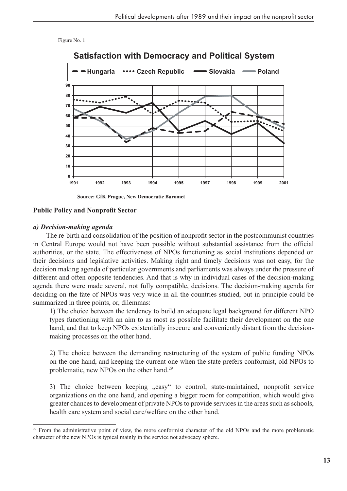Figure No. 1



**Satisfaction with Democracy and Political System**

**Source: GfK Prague, New Democratic Baromet**

### **Public Policy and Nonprofit Sector**

### *a) Decision-making agenda*

The re-birth and consolidation of the position of nonprofit sector in the postcommunist countries in Central Europe would not have been possible without substantial assistance from the official authorities, or the state. The effectiveness of NPOs functioning as social institutions depended on their decisions and legislative activities. Making right and timely decisions was not easy, for the decision making agenda of particular governments and parliaments was always under the pressure of different and often opposite tendencies. And that is why in individual cases of the decision-making agenda there were made several, not fully compatible, decisions. The decision-making agenda for deciding on the fate of NPOs was very wide in all the countries studied, but in principle could be summarized in three points, or, dilemmas:

1) The choice between the tendency to build an adequate legal background for different NPO types functioning with an aim to as most as possible facilitate their development on the one hand, and that to keep NPOs existentially insecure and conveniently distant from the decisionmaking processes on the other hand.

2) The choice between the demanding restructuring of the system of public funding NPOs on the one hand, and keeping the current one when the state prefers conformist, old NPOs to problematic, new NPOs on the other hand.<sup>29</sup>

3) The choice between keeping "easy" to control, state-maintained, nonprofit service organizations on the one hand, and opening a bigger room for competition, which would give greater chances to development of private NPOs to provide services in the areas such as schools, health care system and social care/welfare on the other hand.

<sup>&</sup>lt;sup>29</sup> From the administrative point of view, the more conformist character of the old NPOs and the more problematic character of the new NPOs is typical mainly in the service not advocacy sphere.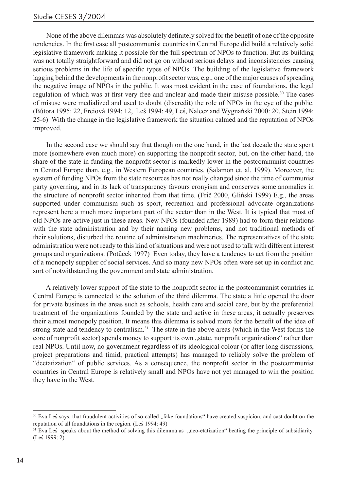None of the above dilemmas was absolutely definitely solved for the benefit of one of the opposite tendencies. In the first case all postcommunist countries in Central Europe did build a relatively solid legislative framework making it possible for the full spectrum of NPOs to function. But its building was not totally straightforward and did not go on without serious delays and inconsistencies causing serious problems in the life of specific types of NPOs. The building of the legislative framework lagging behind the developments in the nonprofit sector was, e.g., one of the major causes of spreading the negative image of NPOs in the public. It was most evident in the case of foundations, the legal regulation of which was at first very free and unclear and made their misuse possible.<sup>30</sup> The cases of misuse were medialized and used to doubt (discredit) the role of NPOs in the eye of the public. (Bútora 1995: 22, Freiová 1994: 12, Leś 1994: 49, Leś, Nalecz and Wygnański 2000: 20, Stein 1994: 25-6) With the change in the legislative framework the situation calmed and the reputation of NPOs improved.

 In the second case we should say that though on the one hand, in the last decade the state spent more (somewhere even much more) on supporting the nonprofit sector, but, on the other hand, the share of the state in funding the nonprofit sector is markedly lower in the postcommunist countries in Central Europe than, e.g., in Western European countries. (Salamon et. al. 1999). Moreover, the system of funding NPOs from the state resources has not really changed since the time of communist party governing, and in its lack of transparency favours cronyism and conserves some anomalies in the structure of nonprofit sector inherited from that time. (Frič 2000, Gliński 1999) E.g., the areas supported under communism such as sport, recreation and professional advocate organizations represent here a much more important part of the sector than in the West. It is typical that most of old NPOs are active just in these areas. New NPOs (founded after 1989) had to form their relations with the state administration and by their naming new problems, and not traditional methods of their solutions, disturbed the routine of administration machineries. The representatives of the state administration were not ready to this kind of situations and were not used to talk with different interest groups and organizations. (Potůček 1997) Even today, they have a tendency to act from the position of a monopoly supplier of social services. And so many new NPOs often were set up in conflict and sort of notwithstanding the government and state administration.

 A relatively lower support of the state to the nonprofit sector in the postcommunist countries in Central Europe is connected to the solution of the third dilemma. The state a little opened the door for private business in the areas such as schools, health care and social care, but by the preferential treatment of the organizations founded by the state and active in these areas, it actually preserves their almost monopoly position. It means this dilemma is solved more for the benefit of the idea of strong state and tendency to centralism.<sup>31</sup> The state in the above areas (which in the West forms the core of nonprofit sector) spends money to support its own "state, nonprofit organizations" rather than real NPOs. Until now, no government regardless of its ideological colour (or after long discussions, project preparations and timid, practical attempts) has managed to reliably solve the problem of "deetatization" of public services. As a consequence, the nonprofit sector in the postcommunist countries in Central Europe is relatively small and NPOs have not yet managed to win the position they have in the West.

<sup>&</sup>lt;sup>30</sup> Eva Leś says, that fraudulent activities of so-called "fake foundations" have created suspicion, and cast doubt on the reputation of all foundations in the region. (Leś 1994: 49)

<sup>&</sup>lt;sup>31</sup> Eva Leś speaks about the method of solving this dilemma as "neo-etatization" beating the principle of subsidiarity. (Leś 1999: 2)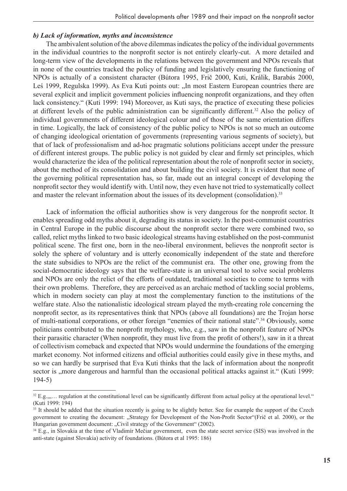## *b) Lack of information, myths and inconsistence*

 The ambivalent solution of the above dilemmas indicates the policy of the individual governments in the individual countries to the nonprofit sector is not entirely clearly-cut. A more detailed and long-term view of the developments in the relations between the government and NPOs reveals that in none of the countries tracked the policy of funding and legislatively ensuring the functioning of NPOs is actually of a consistent character (Bútora 1995, Frič 2000, Kuti, Králik, Barabás 2000, Leś 1999, Regulska 1999). As Eva Kuti points out: "In most Eastern European countries there are several explicit and implicit government policies influencing nonprofit organizations, and they often lack consistency." (Kuti 1999: 194) Moreover, as Kuti says, the practice of executing these policies at different levels of the public administration can be significantly different.32 Also the policy of individual governments of different ideological colour and of those of the same orientation differs in time. Logically, the lack of consistency of the public policy to NPOs is not so much an outcome of changing ideological orientation of governments (representing various segments of society), but that of lack of professionalism and ad-hoc pragmatic solutions politicians accept under the pressure of different interest groups. The public policy is not guided by clear and firmly set principles, which would characterize the idea of the political representation about the role of nonprofit sector in society, about the method of its consolidation and about building the civil society. It is evident that none of the governing political representation has, so far, made out an integral concept of developing the nonprofit sector they would identify with. Until now, they even have not tried to systematically collect and master the relevant information about the issues of its development (consolidation).<sup>33</sup>

 Lack of information the official authorities show is very dangerous for the nonprofit sector. It enables spreading odd myths about it, degrading its status in society. In the post-communist countries in Central Europe in the public discourse about the nonprofit sector there were combined two, so called, relict myths linked to two basic ideological streams having established on the post-communist political scene. The first one, born in the neo-liberal environment, believes the nonprofit sector is solely the sphere of voluntary and is utterly economically independent of the state and therefore the state subsidies to NPOs are the relict of the communist era. The other one, growing from the social-democratic ideology says that the welfare-state is an universal tool to solve social problems and NPOs are only the relict of the efforts of outdated, traditional societies to come to terms with their own problems. Therefore, they are perceived as an archaic method of tackling social problems, which in modern society can play at most the complementary function to the institutions of the welfare state. Also the nationalistic ideological stream played the myth-creating role concerning the nonprofit sector, as its representatives think that NPOs (above all foundations) are the Trojan horse of multi-national corporations, or other foreign "enemies of their national state".34 Obviously, some politicians contributed to the nonprofit mythology, who, e.g., saw in the nonprofit feature of NPOs their parasitic character (When nonprofit, they must live from the profit of others!), saw in it a threat of collectivism comeback and expected that NPOs would undermine the foundations of the emerging market economy. Not informed citizens and official authorities could easily give in these myths, and so we can hardly be surprised that Eva Kuti thinks that the lack of information about the nonprofit sector is , more dangerous and harmful than the occasional political attacks against it." (Kuti 1999: 194-5)

 $32$  E.g.,  $\ldots$  regulation at the constitutional level can be significantly different from actual policy at the operational level." (Kuti 1999: 194)

<sup>&</sup>lt;sup>33</sup> It should be added that the situation recently is going to be slightly better. See for example the support of the Czech government to creating the document: "Strategy for Development of the Non-Profit Sector"(Fric et al. 2000), or the Hungarian government document: "Civil strategy of the Government" (2002).

<sup>&</sup>lt;sup>34</sup> E.g., in Slovakia at the time of Vladimír Mečiar government, even the state secret service (SIS) was involved in the anti-state (against Slovakia) activity of foundations. (Bútora et al 1995: 186)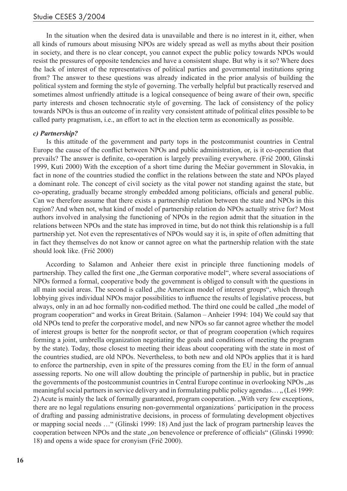In the situation when the desired data is unavailable and there is no interest in it, either, when all kinds of rumours about misusing NPOs are widely spread as well as myths about their position in society, and there is no clear concept, you cannot expect the public policy towards NPOs would resist the pressures of opposite tendencies and have a consistent shape. But why is it so? Where does the lack of interest of the representatives of political parties and governmental institutions spring from? The answer to these questions was already indicated in the prior analysis of building the political system and forming the style of governing. The verbally helpful but practically reserved and sometimes almost unfriendly attitude is a logical consequence of being aware of their own, specific party interests and chosen technocratic style of governing. The lack of consistency of the policy towards NPOs is thus an outcome of in reality very consistent attitude of political elites possible to be called party pragmatism, i.e., an effort to act in the election term as economically as possible.

#### *c) Partnership?*

 Is this attitude of the government and party tops in the postcommunist countries in Central Europe the cause of the conflict between NPOs and public administration, or, is it co-operation that prevails? The answer is definite, co-operation is largely prevailing everywhere. (Frič 2000, Glinski 1999, Kuti 2000) With the exception of a short time during the Mečiar government in Slovakia, in fact in none of the countries studied the conflict in the relations between the state and NPOs played a dominant role. The concept of civil society as the vital power not standing against the state, but co-operating, gradually became strongly embedded among politicians, officials and general public. Can we therefore assume that there exists a partnership relation between the state and NPOs in this region? And when not, what kind of model of partnership relation do NPOs actually strive for? Most authors involved in analysing the functioning of NPOs in the region admit that the situation in the relations between NPOs and the state has improved in time, but do not think this relationship is a full partnership yet. Not even the representatives of NPOs would say it is, in spite of often admitting that in fact they themselves do not know or cannot agree on what the partnership relation with the state should look like. (Frič 2000)

 According to Salamon and Anheier there exist in principle three functioning models of partnership. They called the first one "the German corporative model", where several associations of NPOs formed a formal, cooperative body the government is obliged to consult with the questions in all main social areas. The second is called "the American model of interest groups", which through lobbying gives individual NPOs major possibilities to influence the results of legislative process, but always, only in an ad hoc formally non-codified method. The third one could be called , the model of program cooperation" and works in Great Britain. (Salamon – Anheier 1994: 104) We could say that old NPOs tend to prefer the corporative model, and new NPOs so far cannot agree whether the model of interest groups is better for the nonprofit sector, or that of program cooperation (which requires forming a joint, umbrella organization negotiating the goals and conditions of meeting the program by the state). Today, those closest to meeting their ideas about cooperating with the state in most of the countries studied, are old NPOs. Nevertheless, to both new and old NPOs applies that it is hard to enforce the partnership, even in spite of the pressures coming from the EU in the form of annual assessing reports. No one will allow doubting the principle of partnership in public, but in practice the governments of the postcommunist countries in Central Europe continue in overlooking NPOs "as meaningful social partners in service delivery and in formulating public policy agendas... "(Leś 1999: 2) Acute is mainly the lack of formally guaranteed, program cooperation. "With very few exceptions, there are no legal regulations ensuring non-governmental organizations´ participation in the process of drafting and passing administrative decisions, in process of formulating development objectives or mapping social needs …" (Glinski 1999: 18) And just the lack of program partnership leaves the cooperation between NPOs and the state "on benevolence or preference of officials" (Glinski 19990: 18) and opens a wide space for cronyism (Frič 2000).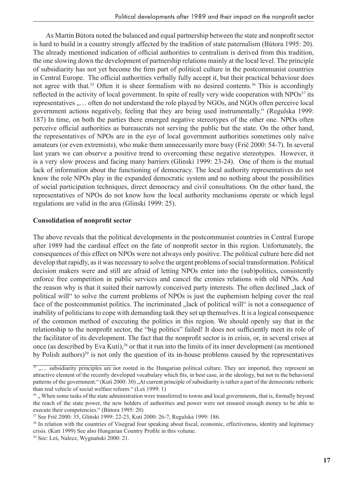As Martin Bútora noted the balanced and equal partnership between the state and nonprofit sector is hard to build in a country strongly affected by the tradition of state paternalism (Bútora 1995: 20). The already mentioned indication of official authorities to centralism is derived from this tradition, the one slowing down the development of partnership relations mainly at the local level. The principle of subsidiarity has not yet become the firm part of political culture in the postcommunist countries in Central Europe. The official authorities verbally fully accept it, but their practical behaviour does not agree with that.<sup>35</sup> Often it is sheer formalism with no desired contents.<sup>36</sup> This is accordingly reflected in the activity of local government. In spite of really very wide cooperation with NPOs<sup>37</sup> its representatives .... often do not understand the role played by NGOs, and NGOs often perceive local government actions negatively, feeling that they are being used instrumentally." (Regulska 1999: 187) In time, on both the parties there emerged negative stereotypes of the other one. NPOs often perceive official authorities as bureaucrats not serving the public but the state. On the other hand, the representatives of NPOs are in the eye of local government authorities sometimes only naïve amateurs (or even extremists), who make them unnecessarily more busy (Frič 2000: 54-7). In several last years we can observe a positive trend to overcoming these negative stereotypes. However, it is a very slow process and facing many barriers (Glinski 1999: 23-24). One of them is the mutual lack of information about the functioning of democracy. The local authority representatives do not know the role NPOs play in the expanded democratic system and no nothing about the possibilities of social participation techniques, direct democracy and civil consultations. On the other hand, the representatives of NPOs do not know how the local authority mechanisms operate or which legal regulations are valid in the area (Glinski 1999: 25).

## **Consolidation of nonprofit sector**

The above reveals that the political developments in the postcommunist countries in Central Europe after 1989 had the cardinal effect on the fate of nonprofit sector in this region. Unfortunately, the consequences of this effect on NPOs were not always only positive. The political culture here did not develop that rapidly, as it was necessary to solve the urgent problems of social transformation. Political decision makers were and still are afraid of letting NPOs enter into the (sub)politics, consistently enforce free competition in public services and cancel the cronies relations with old NPOs. And the reason why is that it suited their narrowly conceived party interests. The often declined  $\alpha$  lack of political will" to solve the current problems of NPOs is just the euphemism helping cover the real face of the postcommunist politics. The incriminated  $\alpha$ , lack of political will" is not a consequence of inability of politicians to cope with demanding task they set up themselves. It is a logical consequence of the common method of executing the politics in this region. We should openly say that in the relationship to the nonprofit sector, the "big politics" failed! It does not sufficiently meet its role of the facilitator of its development. The fact that the nonprofit sector is in crisis, or, in several crises at once (as described by Eva Kuti),<sup>38</sup> or that it run into the limits of its inner development (as mentioned by Polish authors)<sup>39</sup> is not only the question of its in-house problems caused by the representatives

 $\frac{35}{10}$  .... subsidiarity principles are not rooted in the Hungarian political culture. They are imported, they represent an attractive element of the recently developed vocabulary which fits, in best case, in the ideology, but not in the behavioral patterns of the government." (Kuti 2000: 30), At current principle of subsidiarity is rather a part of the democratic rethoric than real vehicle of social welfare reform." (Leś 1999: 1)

<sup>&</sup>lt;sup>36</sup>. When some tasks of the state administration were transferred to towns and local governments, that is, formally beyond the reach of the state power, the new holders of authorities and power were not ensured enough money to be able to execute their competencies." (Bútora 1995: 20)

<sup>37</sup> See Frič 2000: 35, Gliński 1999: 22-23, Kuti 2000: 26-7, Regulska 1999: 186.

<sup>&</sup>lt;sup>38</sup> In relation with the countries of Visegrad four speaking about fiscal, economic, effectiveness, identity and legitimacy crisis. (Kuti 1999) See also Hungarian Country Profile in this volume.

<sup>39</sup> See: Leś, Nalecz, Wygnański 2000: 21.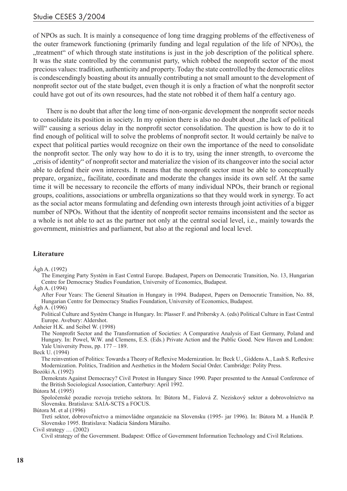## Studie CESES 3/2004

of NPOs as such. It is mainly a consequence of long time dragging problems of the effectiveness of the outer framework functioning (primarily funding and legal regulation of the life of NPOs), the "treatment" of which through state institutions is just in the job description of the political sphere. It was the state controlled by the communist party, which robbed the nonprofit sector of the most precious values: tradition, authenticity and property. Today the state controlled by the democratic elites is condescendingly boasting about its annually contributing a not small amount to the development of nonprofit sector out of the state budget, even though it is only a fraction of what the nonprofit sector could have got out of its own resources, had the state not robbed it of them half a century ago.

 There is no doubt that after the long time of non-organic development the nonprofit sector needs to consolidate its position in society. In my opinion there is also no doubt about "the lack of political will" causing a serious delay in the nonprofit sector consolidation. The question is how to do it to find enough of political will to solve the problems of nonprofit sector. It would certainly be naïve to expect that political parties would recognize on their own the importance of the need to consolidate the nonprofit sector. The only way how to do it is to try, using the inner strength, to overcome the "crisis of identity" of nonprofit sector and materialize the vision of its changeover into the social actor. able to defend their own interests. It means that the nonprofit sector must be able to conceptually prepare, organize,, facilitate, coordinate and moderate the changes inside its own self. At the same time it will be necessary to reconcile the efforts of many individual NPOs, their branch or regional groups, coalitions, associations or umbrella organizations so that they would work in synergy. To act as the social actor means formulating and defending own interests through joint activities of a bigger number of NPOs. Without that the identity of nonprofit sector remains inconsistent and the sector as a whole is not able to act as the partner not only at the central social level, i.e., mainly towards the government, ministries and parliament, but also at the regional and local level.

#### **Literature**

#### Ágh A. (1992)

The Emerging Party Systém in East Central Europe. Budapest, Papers on Democratic Transition, No. 13, Hungarian Centre for Democracy Studies Foundation, University of Economics, Budapest.

#### Ágh A. (1994)

After Four Years: The General Situation in Hungary in 1994. Budapest, Papers on Democratic Transition, No. 88, Hungarian Centre for Democracy Studies Foundation, University of Economics, Budapest.

#### Ágh A. (1996)

Political Culture and Systém Change in Hungary. In: Plasser F. and Pribersky A. (eds) Political Culture in East Central Europe. Avebury: Aldershot.

#### Anheier H.K. and Seibel W. (1998)

The Nonprofit Sector and the Transformation of Societies: A Comparative Analysis of East Germany, Poland and Hungary. In: Powel, W.W. and Clemens, E.S. (Eds.) Private Action and the Public Good. New Haven and London: Yale University Press, pp. 177 – 189.

#### Beck U. (1994)

The reinvention of Politics: Towards a Theory of Reflexive Modernization. In: Beck U., Giddens A., Lash S. Reflexive Modernization. Politics, Tradition and Aesthetics in the Modern Social Order. Cambridge: Polity Press.

#### Bozóki A. (1992)

Demokrats Against Democracy? Civil Protest in Hungary Since 1990. Paper presented to the Annual Conference of the British Sociological Association, Canterbury: April 1992.

#### Bútora M. (1995)

Spoločenské pozadie rozvoja tretieho sektora. In: Bútora M., Fialová Z. Neziskový sektor a dobrovolníctvo na Slovensku. Bratislava: SAIA-SCTS a FOCUS.

Bútora M. et al (1996)

Tretí sektor, dobrovoľníctvo a mimovládne organzácie na Slovensku (1995- jar 1996). In: Bútora M. a Hunčík P. Slovensko 1995. Bratislava: Nadácia Sándora Máraiho.

Civil strategy … (2002)

Civil strategy of the Government. Budapest: Office of Government Information Technology and Civil Relations.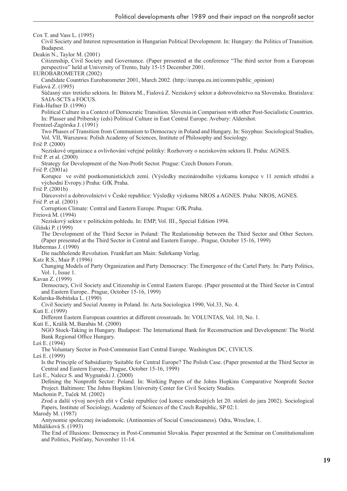Cox T. and Vass L. (1995) Civil Society and Interest representation in Hungarian Political Development. In: Hungary: the Politics of Transition. Budapest. Deakin N., Taylor M. (2001) Citizenship, Civil Society and Governance. (Paper presented at the conference "The third sector from a European perspective" held at University of Trento, Italy 15-15 December 2001. EUROBAROMETER (2002) Candidate Countries Eurobarometer 2001, March 2002. (http://europa.eu.int/comm/public\_opinion) Fialová Z. (1995) Súčasný stav tretieho sektora. In: Bútora M., Fialová Z. Neziskový sektor a dobrovolníctvo na Slovensku. Bratislava: SAIA-SCTS a FOCUS. Fink-Hafner D. (1996) Political Culture in a Context of Democratic Transition. Slovenia in Comparison with other Post-Socialistic Countries. In: Plasser and Pribersky (eds) Political Culture in East Central Europe. Avebury: Aldershot. Frentzel-Zagórska J. (1991) Two Phases of Transition from Communism to Democracy in Poland and Hungary. In: Sisyphus: Sociological Studies, Vol. VII, Warszawa: Polish Academy of Sciences, Institute of Philosophy and Sociology. Frič P. (2000) Neziskové organizace a ovlivňování veřejné politiky: Rozhovory o neziskovém sektoru II. Praha: AGNES. Frič P. et al. (2000) Strategy for Development of the Non-Profit Sector. Prague: Czech Donors Forum. Frič P. (2001a) Korupce ve světě postkomunistickźch zemí. (Výsledky mezinárodního výzkumu korupce v 11 zemích střední a východní Evropy.) Praha: GfK Praha. Frič P. (2001b) Dárcovství a dobrovolnictví v České republice: Výsledky výzkumu NROS a AGNES. Praha: NROS, AGNES. Frič P. et al. (2001) Corruption Climate: Central and Eastern Europe. Prague: GfK Praha. Freiová M. (1994) Neziskový sektor v politickém pohledu. In: EMP, Vol. III., Special Edition 1994. Gliński P. (1999) The Development of the Third Sector in Poland: The Realationship between the Third Sector and Other Sectors. (Paper presented at the Third Sector in Central and Eastern Europe.. Prague, October 15-16, 1999) Habermas J. (1990) Die nachholende Revolution. Frankfurt am Main: Suhrkamp Verlag. Katz R.S., Mair P. (1996) Changing Models of Party Organization and Party Democracy: The Emergence of the Cartel Party. In: Party Politics, Vol. 1, Issue 1. Kavan Z. (1999) Democracy, Civil Society and Citizenship in Central Eastern Europe. (Paper presented at the Third Sector in Central and Eastern Europe.. Prague, October 15-16, 1999) Kolarska-Bobińska L. (1990) Civil Society and Social Anomy in Poland. In: Acta Sociologica 1990, Vol.33, No. 4. Kuti E. (1999) Different Eastern European countries at different crossroads. In: VOLUNTAS, Vol. 10, No. 1. Kuti E., Králik M, Barabás M. (2000) NGO Stock-Taking in Hungary. Budapest: The International Bank for Reconstruction and Development/ The World Bank Regional Office Hungary. Leś E. (1994) The Voluntary Sector in Post-Communist East Central Europe. Washington DC, CIVICUS. Leś E. (1999) Is the Principle of Subsidiarity Suitable for Central Europe? The Polish Case. (Paper presented at the Third Sector in Central and Eastern Europe.. Prague, October 15-16, 1999) Leś E., Nalecz S. and Wygnański J. (2000) Defining the Nonprofit Sector: Poland. In: Working Papers of the Johns Hopkins Comparative Nonprofit Sector Project. Baltimore: The Johns Hopkins University Center for Civil Society Studies. Machonin P., Tuček M. (2002) Zrod a další vývoj nových elit v České republice (od konce osmdesátých let 20. století do jara 2002). Sociological Papers, Institute of Sociology, Academy of Sciences of the Czech Republic, SP 02:1. Marody M. (1987) Antynomie spolecznej świadomošc. (Antinomies of Social Consciousness). Odra, Wroclaw, 1. Miháliková S. (1993) The End of Illusions: Democracy in Post-Communist Slovakia. Paper presented at the Seminar on Constitutionalism and Politics, Piešťany, November 11-14.